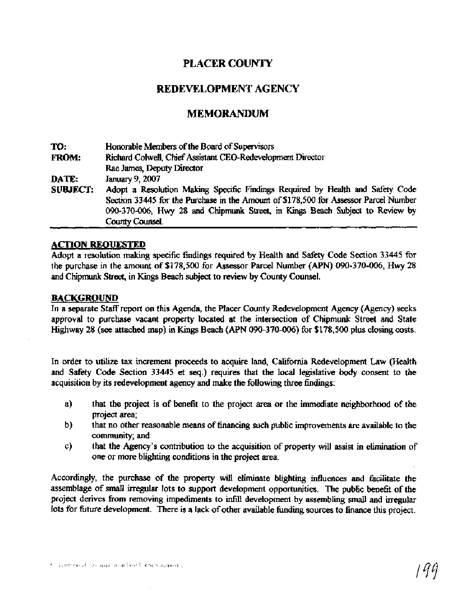# **PLACER COUNTY**

## **REDEVELOPMENT AGENCY**

# **MEMORANDUM**

| TO:             | Honorable Members of the Board of Supervisors                                                                                                                                                                                                                             |
|-----------------|---------------------------------------------------------------------------------------------------------------------------------------------------------------------------------------------------------------------------------------------------------------------------|
| <b>FROM:</b>    | Richard Colwell, Chief Assistant CEO-Redevelopment Director                                                                                                                                                                                                               |
|                 | Rae James, Deputy Director                                                                                                                                                                                                                                                |
| DATE:           | January 9, 2007                                                                                                                                                                                                                                                           |
| <b>SUBJECT:</b> | Adopt a Resolution Making Specific Findings Required by Health and Safety Code<br>Section 33445 for the Purchase in the Amount of \$178,500 for Assessor Parcel Number<br>090-370-006, Hwy 28 and Chipmunk Street, in Kings Beach Subject to Review by<br>County Counsel. |

#### **ACTION REQUESTED**

Adopt a resolution making specific findings required by Health **and** Safety Code Section 33445 for the purchase in the amount of \$178,500 for Assessor Parcel Number **(APN)** 090-370-006, **Hwy** 28 and Chipmunk Street, in Kings Beach subject to review by County Counsel.

#### **BACKGROUND**

In a separate Staff report on this Agenda, the Placer County Redevelopment Agency (Agency) seeks approval to purchase vacant property located at the intersection of Chipmunk Street and State Highway 28 **(see attached** map) in Kings Beach (APN 090-370-006) for \$178,500 plus closing costs.

In order to utilize tax increment proceeds to acquire land, California Redevelopment Law (Health and **Safety** Code Section 33445 **et seq.)** requires that the local legislative body consent to the acquisition by its redevelopment agency and make the following three findings:

- a) that the project is of benefit to the project **area** or the immediate neighborhood of the project **area;**
- b) that no other reasonable **means** of financing such public improvements are available to the community; and
- c) that the Agency's contribution to the acquisition of property will assist in elimination of one or more blighting conditions in the project **area.**

Accordingly, the purchase of the property will eliminate blighting influences and facilitate the assemblage of small irregular lots to support development opportunities. The public benefit of the project derives fiom removing impediments to infill development by assembling small and irregular lots for future development. There is a lack of other available funding sources to finance this project.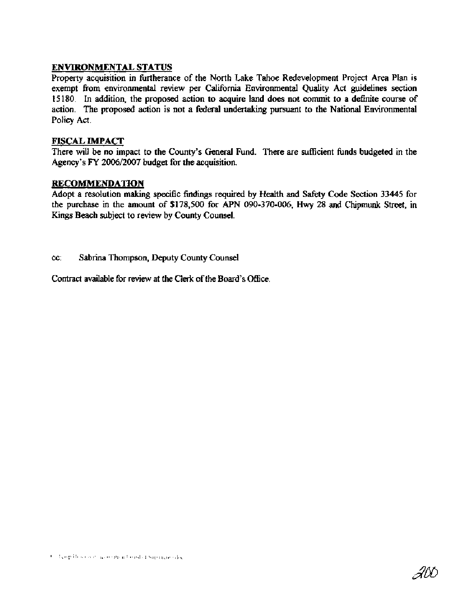## **ENVIRONMENTAL STATUS**

Property acquisition in furtherance of the North Lake Tahoe Redevelopment Project Area Plan is exempt from environmental review per California Environmental Quality Act guidelines section 15 180. In addition, the proposed action to acquire land does not commit to a definite course of action. The proposed action is not a federal undertaking pursuant to the National Environmental Policy Act.

## FISCAL **IMPACT**

There will be no impact to the County's General Fund. There are sufficient funds budgeted in the Agency's **FY** 2006/2007 budget for the acquisition.

## **RECOMMENDATION**

Adopt a resolution making specific findings required by Health and Safety Code Section 33445 for the purchase in the amount of \$178,500 for APN 090-370-006, **Hwy** 28 and Chipmunk Street, in Kings Beach subject to review by County Counsel.

## cc: Sabrina Thompson, Deputy County Counsel

Contract available for review at the Clerk of the Board's Office.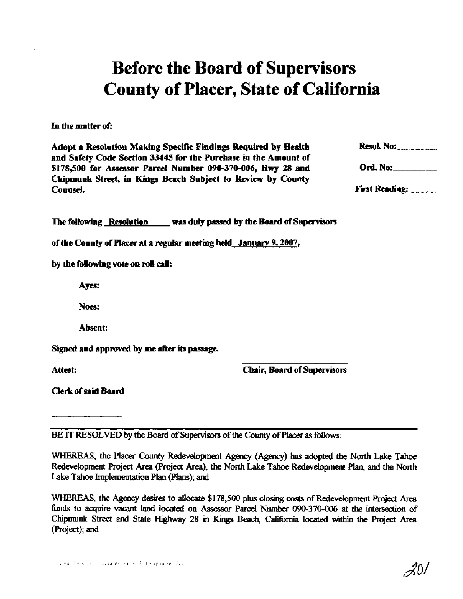# Before the Board of Supervisors County of Placer, State of California

In the matter of:

Adopt a Resolution Making Specific Findings Required by Health **bl.** NO:., ............................. and Safety Code Section **33445** for the Purchase in the Amount of \$178,500 for Assessor Parcel Number 090-370-006, Hwy 28 and Ord. No: Chipmunk Street, in Kings Beach Subject to **Review** by County Counsel. **First** Reading: .....................

#### **The following Resolution cases and all vertex of Supervisors cases of Supervisors**

of the County of Placer at a regular meeting held Januarv **9,2007,** 

by the following vote on **roll** calk

Ayes:

Noes:

Absent:

Signed and approved by me **after** its passage.

Attest:

Chair, Board of Supervisors

Clerk of said Board

**BE IT** RESOLVED by the Board of Supervisors of the County of Placer **as** follows:

WHEXEAS, the Placer *County* Redevelopment Agency (Agency) **has** adopted the North Lake **Tahoe**  Redevelopment Project Area (Project Area), the North Lake Tahoe Redevelopment Plan, and the North Lake Tahoe Implementation Plan (Plans); and

**WHEREAS, the** Agency **desires** to **allocate** \$178,500 plus dosing **costs** of Redevelopment Project Area **funds** to acquire vacant land located on Assessor Parcel Number 090-370-006 **at the** intersection of Chipmunk Street and State **Highway** 28 in Kings Beach, California located within the Project Area (Project); **and** 

201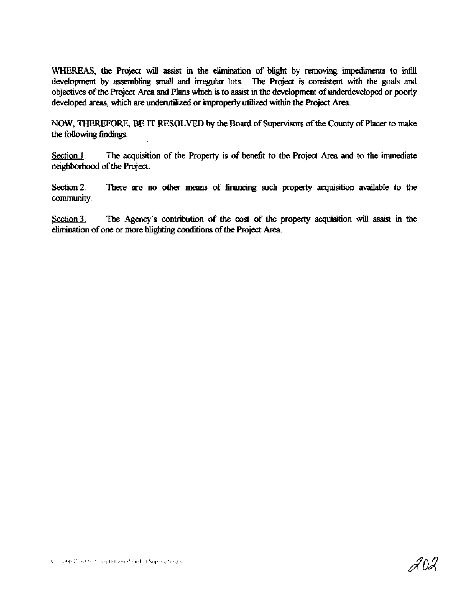WHEREAS, the Project will assist in the elimination of blight by removing impediments to infill development **by assembling** small and irregular lots. The Project is consistent with the goals and objectives of the Project Area and Plans which is to assist in the development of underdeveloped or poorly developed areas, which are underutilized or improperly utilized within the Project Area.

NOW, **THEREFORE, BE IT RESOLVED by the** Board of Supervisors of the County of Placer to **make**  the following findings:

Section 1. The acquisition of the Property is of benefit to the Project Area and to the immediate neighborhood of the Project.

Section 2. **There are no other means of financing such property acquisition available to the** community.

Section 3. The Agency's contribution of the cost of the property acquisition will assist in the elimination of one or more blighting conditions of the Project Area.

202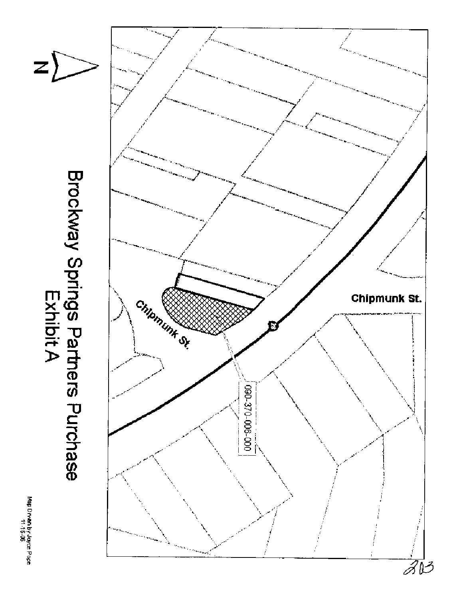

Map Drwan by yoyce Pope<br>Map Drwan by yoyce Pope